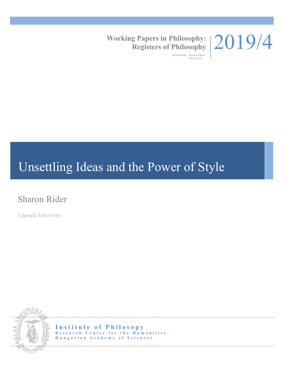

# **Working Papers in Philosophy: Registers of Philosophy**

Szerkesztők: Kovács Gábor Paár Tamás

# Unsettling Ideas and the Power of Style

# Sharon Rider

*Uppsala University*



**Institute of Philosopy Research Centre for the Humanities Hungarian Academy of Sciences**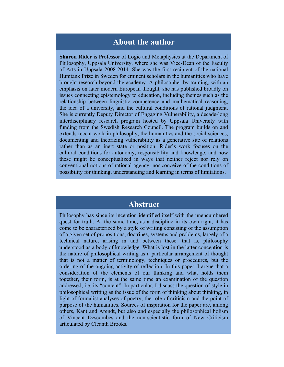### **About the author**

**Sharon Rider** is Professor of Logic and Metaphysics at the Department of Philosophy, Uppsala University, where she was Vice-Dean of the Faculty of Arts in Uppsala 2008-2014. She was the first recipient of the national Humtank Prize in Sweden for eminent scholars in the humanities who have brought research beyond the academy. A philosopher by training, with an emphasis on later modern European thought, she has published broadly on issues connecting epistemology to education, including themes such as the relationship between linguistic competence and mathematical reasoning, the idea of a university, and the cultural conditions of rational judgment. She is currently Deputy Director of Engaging Vulnerability, a decade-long interdisciplinary research program hosted by Uppsala University with funding from the Swedish Research Council. The program builds on and extends recent work in philosophy, the humanities and the social sciences, documenting and theorizing vulnerability as a generative site of relations rather than as an inert state or position. Rider's work focuses on the cultural conditions for autonomy, responsibility and knowledge, and how these might be conceptualized in ways that neither reject nor rely on conventional notions of rational agency, nor conceive of the conditions of possibility for thinking, understanding and learning in terms of limitations.

## **Abstract**

Philosophy has since its inception identified itself with the unencumbered quest for truth. At the same time, as a discipline in its own right, it has come to be characterized by a style of writing consisting of the assumption of a given set of propositions, doctrines, systems and problems, largely of a technical nature, arising in and between these: that is, philosophy understood as a body of knowledge. What is lost in the latter conception is the nature of philosophical writing as a particular arrangement of thought that is not a matter of terminology, techniques or procedures, but the ordering of the ongoing activity of reflection. In this paper, I argue that a consideration of the elements of our thinking and what holds them together, their form, is at the same time an examination of the question addressed, i.e. its "content". In particular, I discuss the question of style in philosophical writing as the issue of the form of thinking about thinking, in light of formalist analyses of poetry, the role of criticism and the point of purpose of the humanities. Sources of inspiration for the paper are, among others, Kant and Arendt, but also and especially the philosophical holism of Vincent Descombes and the non-scientistic form of New Criticism articulated by Cleanth Brooks.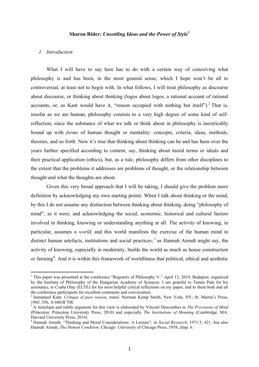#### **Sharon Rider***: Unsettling Ideas and the Power of Style 1*

#### *1. Introduction*

 

What I will have to say here has to do with a certain way of conceiving what philosophy is and has been, in the most general sense, which I hope won't be all to controversial, at least not to begin with. In what follows, I will treat philosophy as discourse about discourse, or thinking about thinking (logos about logos, a rational account of rational accounts, or, as Kant would have it, "reason occupied with nothing but itself"). <sup>2</sup> That is, insofar as we are human, philosophy consists to a very high degree of some kind of selfreflection, since the substance of what we talk or think about in philosophy is inextricably bound up with *forms* of human thought or mentality: concepts, criteria, ideas, methods, theories, and so forth. Now it's true that thinking about thinking can be and has been over the years further specified according to content, say, thinking about moral terms or ideals and their practical application (ethics), but, as a rule, philosophy differs from other disciplines to the extent that the problems it addresses are problems of thought, or the relationship between thought and what the thoughts are about.

Given this very broad approach that I will be taking, I should give the problem more definition by acknowledging my own starting points. When I talk about thinking or the mind, by this I do not assume any distinction between thinking about thinking, doing "philosophy of mind", as it were, and acknowledging the social, economic, historical and cultural factors involved in thinking, knowing or understanding anything at all. The activity of knowing, in particular, assumes a *world,* and this world manifests the exercise of the human mind in distinct human artefacts, institutions and social practices;  $3$  as Hannah Arendt might say, the activity of knowing, especially in modernity, builds the world as much as house construction or farming<sup>4</sup>. And it is within this framework of worldliness that political, ethical and aesthetic

<sup>&</sup>lt;sup>1</sup> This paper was presented at the conference "Registers of Philosophy V," April 13, 2019, Budapest, organized by the Institute of Philosophy of the Hungarian Academy of Sciences. I am grateful to Tamás Paár for his assistance, to Csaba Olay (ELTE) for his most helpful critical reflections on my paper, and to them both and all the conference participants for excellent comments and conversation.

<sup>2</sup> Immanuel Kant. *Critique of pure reason*, transl. Norman Kemp Smith, New York, NY: St. Martin's Press, 1965, 556, A 680/B 708. <sup>3</sup> A trenchant and subtle argument for this view is elaborated by Vincent Descombes in *The Provisions of Mind*

<sup>(</sup>Princeton: Princeton University Press, 2010) and especially *The Institutions of Meaning* (Cambridge, MA: Harvard University Press, 2014).

<sup>&</sup>lt;sup>4</sup> Hannah Arendt, "Thinking and Moral Considerations: A Lecture", in *Social Research*, 1971/3, 421. See also Hannah Arendt, *The Human Condition*. Chicago: University of Chicago Press, 1958, chap. 6.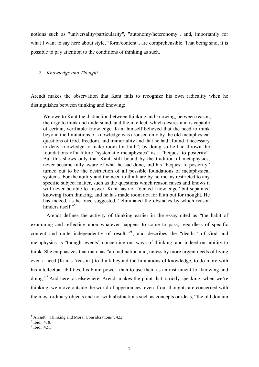notions such as "universality/particularity", "autonomy/heteronomy", and, importantly for what I want to say here about style, "form/content", are comprehensible. That being said, it is possible to pay attention to the conditions of thinking as such.

#### *2. Knowledge and Thought*

Arendt makes the observation that Kant fails to recognize his own radicality when he distinguishes between thinking and knowing:

We owe to Kant the distinction between thinking and knowing, between reason, the urge to think and understand, and the intellect, which desires and is capable of certain, verifiable knowledge. Kant himself believed that the need to think beyond the limitations of knowledge was aroused only by the old metaphysical questions of God, freedom, and immortality and that he had "found it necessary to deny knowledge to make room for faith"; by doing so he had thrown the foundations of a future "systematic metaphysics" as a "bequest to posterity". But this shows only that Kant, still bound by the tradition of metaphysics, never became fully aware of what he had done, and his "bequest to posterity" turned out to be the destruction of all possible foundations of metaphysical systems. For the ability and the need to think are by no means restricted to any specific subject matter, such as the questions which reason raises and knows it will never be able to answer. Kant has not "denied knowledge" but separated knowing from thinking, and he has made room not for faith but for thought. He has indeed, as he once suggested, "eliminated the obstacles by which reason hinders itself<sup>"5</sup>

Arendt defines the activity of thinking earlier in the essay cited as "the habit of examining and reflecting upon whatever happens to come to pass, regardless of specific content and quite independently of results"<sup>6</sup>, and describes the "deaths" of God and metaphysics as "thought events" concerning our ways of thinking, and indeed our ability to think. She emphasizes that man has "an inclination and, unless by more urgent needs of living, even a need (Kant's `reason') to think beyond the limitations of knowledge, to do more with his intellectual abilities, his brain power, than to use them as an instrument for knowing and doing."<sup>7</sup> And here, as elsewhere, Arendt makes the point that, strictly speaking, when we're thinking, we move outside the world of appearances, even if our thoughts are concerned with the most ordinary objects and not with abstractions such as concepts or ideas, "the old domain

<sup>&</sup>lt;sup>5</sup> Arendt, "Thinking and Moral Considerations", 422.<br>
<sup>6</sup> Ibid., 418.<br>
<sup>7</sup> Ibid., 421.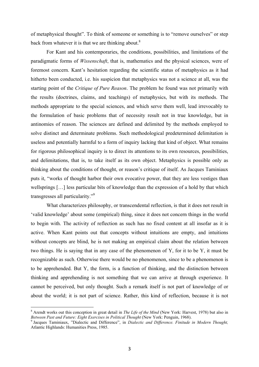of metaphysical thought". To think of someone or something is to "remove ourselves" or step back from whatever it is that we are thinking about. $8$ 

For Kant and his contemporaries, the conditions, possibilities, and limitations of the paradigmatic forms of *Wissenschaft*, that is, mathematics and the physical sciences, were of foremost concern. Kant's hesitation regarding the scientific status of metaphysics as it had hitherto been conducted, i.e. his suspicion that metaphysics was not a science at all, was the starting point of the *Critique of Pure Reason*. The problem he found was not primarily with the results (doctrines, claims, and teachings) of metaphysics, but with its methods. The methods appropriate to the special sciences, and which serve them well, lead irrevocably to the formulation of basic problems that of necessity result not in true knowledge, but in antinomies of reason. The sciences are defined and delimited by the methods employed to solve distinct and determinate problems. Such methodological predetermined delimitation is useless and potentially harmful to a form of inquiry lacking that kind of object. What remains for rigorous philosophical inquiry is to direct its attentions to its own resources, possibilities, and delimitations, that is, to take itself as its own object. Metaphysics is possible only as thinking about the conditions of thought, or reason's critique of itself. As Jacques Taminiaux puts it, "works of thought harbor their own evocative power, that they are less vestiges than wellsprings […] less particular bits of knowledge than the expression of a hold by that which transgresses all particularity."9

What characterizes philosophy, or transcendental reflection, is that it does not result in 'valid knowledge' about some (empirical) thing, since it does not concern things in the world to begin with. The activity of reflection as such has no fixed content at all insofar as it is active. When Kant points out that concepts without intuitions are empty, and intuitions without concepts are blind, he is not making an empirical claim about the relation between two things. He is saying that in any case of the phenomenon of Y, for it to be Y, it must be recognizable as such. Otherwise there would be no phenomenon, since to be a phenomenon is to be apprehended. But Y, the form, is a function of thinking, and the distinction between thinking and apprehending is not something that we can arrive at through experience. It cannot be perceived, but only thought. Such a remark itself is not part of knowledge of or about the world; it is not part of science. Rather, this kind of reflection, because it is not

<sup>&</sup>lt;sup>8</sup> Arendt works out this conception in great detail in *The Life of the Mind* (New York: Harvest, 1978) but also in *Between Past and Future: Eight Exercises in Political Thought* (New York: Penguin, 1968).

<sup>&</sup>lt;sup>9</sup> Jacques Taminiaux, "Dialectic and Difference", in *Dialectic and Difference. Finitude in Modern Thought*, Atlantic Highlands: Humanities Press, 1985.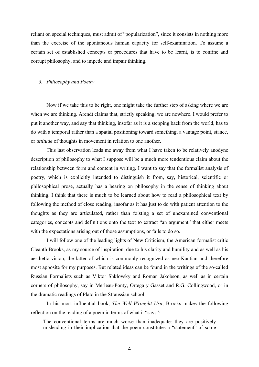reliant on special techniques, must admit of "popularization", since it consists in nothing more than the exercise of the spontaneous human capacity for self-examination. To assume a certain set of established concepts or procedures that have to be learnt, is to confine and corrupt philosophy, and to impede and impair thinking.

#### *3. Philosophy and Poetry*

Now if we take this to be right, one might take the further step of asking where we are when we are thinking. Arendt claims that, strictly speaking, we are nowhere. I would prefer to put it another way, and say that thinking, insofar as it is a stepping back from the world, has to do with a temporal rather than a spatial positioning toward something, a vantage point, stance, or *attitude* of thoughts in movement in relation to one another.

This last observation leads me away from what I have taken to be relatively anodyne description of philosophy to what I suppose will be a much more tendentious claim about the relationship between form and content in writing. I want to say that the formalist analysis of poetry, which is explicitly intended to distinguish it from, say, historical, scientific or philosophical prose, actually has a bearing on philosophy in the sense of thinking about thinking. I think that there is much to be learned about how to read a philosophical text by following the method of close reading, insofar as it has just to do with patient attention to the thoughts as they are articulated, rather than foisting a set of unexamined conventional categories, concepts and definitions onto the text to extract "an argument" that either meets with the expectations arising out of those assumptions, or fails to do so.

I will follow one of the leading lights of New Criticism, the American formalist critic Cleanth Brooks, as my source of inspiration, due to his clarity and humility and as well as his aesthetic vision, the latter of which is commonly recognized as neo-Kantian and therefore most apposite for my purposes. But related ideas can be found in the writings of the so-called Russian Formalists such as Viktor Shklovsky and Roman Jakobson, as well as in certain corners of philosophy, say in Merleau-Ponty, Ortega y Gasset and R.G. Collingwood, or in the dramatic readings of Plato in the Straussian school.

In his most influential book, *The Well Wrought Urn*, Brooks makes the following reflection on the reading of a poem in terms of what it "says":

The conventional terms are much worse than inadequate: they are positively misleading in their implication that the poem constitutes a "statement" of some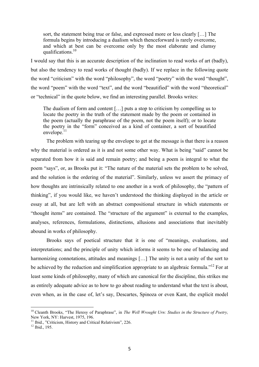sort, the statement being true or false, and expressed more or less clearly […] The formula begins by introducing a dualism which thenceforward is rarely overcome, and which at best can be overcome only by the most elaborate and clumsy qualifications.<sup>10</sup>

I would say that this is an accurate description of the inclination to read works of art (badly), but also the tendency to read works of thought (badly). If we replace in the following quote the word "criticism" with the word "philosophy", the word "poetry" with the word "thought", the word "poem" with the word "text", and the word "beautified" with the word "theoretical" or "technical" in the quote below, we find an interesting parallel. Brooks writes:

The dualism of form and content […] puts a stop to criticism by compelling us to locate the poetry in the truth of the statement made by the poem or contained in the poem (actually the paraphrase of the poem, not the poem itself); or to locate the poetry in the "form" conceived as a kind of container, a sort of beautified envelope.<sup>11</sup>

The problem with tearing up the envelope to get at the message is that there is a reason why the material is ordered as it is and not some other way. What is being "said" cannot be separated from how it is said and remain poetry; and being a poem is integral to what the poem "says", or, as Brooks put it: "The nature of the material sets the problem to be solved, and the solution is the ordering of the material". Similarly, unless we assert the primacy of how thoughts are intrinsically related to one another in a work of philosophy, the "pattern of thinking", if you would like, we haven't understood the thinking displayed in the article or essay at all, but are left with an abstract compositional structure in which statements or "thought items" are contained. The "structure of the argument" is external to the examples, analyses, references, formulations, distinctions, allusions and associations that inevitably abound in works of philosophy.

Brooks says of poetical structure that it is one of "meanings, evaluations, and interpretations; and the principle of unity which informs it seems to be one of balancing and harmonizing connotations, attitudes and meanings [...] The unity is not a unity of the sort to be achieved by the reduction and simplification appropriate to an algebraic formula."<sup>12</sup> For at least some kinds of philosophy, many of which are canonical for the discipline, this strikes me as entirely adequate advice as to how to go about reading to understand what the text is about, even when, as in the case of, let's say, Descartes, Spinoza or even Kant, the explicit model

<sup>&</sup>lt;sup>10</sup> Cleanth Brooks, "The Heresy of Paraphrase", in *The Well Wrought Urn: Studies in the Structure of Poetry,* New York, NY: Harvest, 1975, 196.

<sup>&</sup>lt;sup>11</sup> Ibid., "Criticism, History and Critical Relativism", 226. <sup>12</sup> Ibid., 195.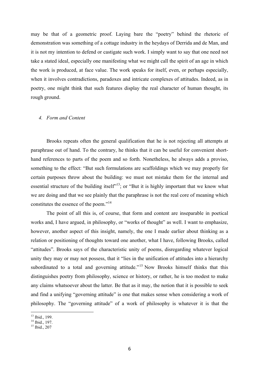may be that of a geometric proof. Laying bare the "poetry" behind the rhetoric of demonstration was something of a cottage industry in the heydays of Derrida and de Man, and it is not my intention to defend or castigate such work. I simply want to say that one need not take a stated ideal, especially one manifesting what we might call the spirit of an age in which the work is produced, at face value. The work speaks for itself, even, or perhaps especially, when it involves contradictions, paradoxes and intricate complexes of attitudes. Indeed, as in poetry, one might think that such features display the real character of human thought, its rough ground.

#### *4. Form and Content*

Brooks repeats often the general qualification that he is not rejecting all attempts at paraphrase out of hand. To the contrary, he thinks that it can be useful for convenient shorthand references to parts of the poem and so forth. Nonetheless, he always adds a proviso, something to the effect: "But such formulations are scaffoldings which we may properly for certain purposes throw about the building: we must not mistake them for the internal and essential structure of the building itself $\frac{13}{3}$ ; or "But it is highly important that we know what we are doing and that we see plainly that the paraphrase is not the real core of meaning which constitutes the essence of the poem."<sup>14</sup>

The point of all this is, of course, that form and content are inseparable in poetical works and, I have argued, in philosophy, or "works of thought" as well. I want to emphasize, however, another aspect of this insight, namely, the one I made earlier about thinking as a relation or positioning of thoughts toward one another, what I have, following Brooks, called "attitudes". Brooks says of the characteristic unity of poems, disregarding whatever logical unity they may or may not possess, that it "lies in the unification of attitudes into a hierarchy subordinated to a total and governing attitude."<sup>15</sup> Now Brooks himself thinks that this distinguishes poetry from philosophy, science or history, or rather, he is too modest to make any claims whatsoever about the latter. Be that as it may, the notion that it is possible to seek and find a unifying "governing attitude" is one that makes sense when considering a work of philosophy. The "governing attitude" of a work of philosophy is whatever it is that the

<sup>&</sup>lt;sup>13</sup> Ibid., 199.<br><sup>14</sup> Ibid., 197.<br><sup>15</sup> Ibid., 207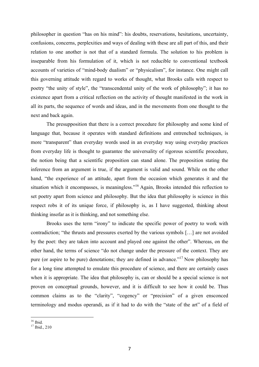philosopher in question "has on his mind": his doubts, reservations, hesitations, uncertainty, confusions, concerns, perplexities and ways of dealing with these are all part of this, and their relation to one another is not that of a standard formula. The solution to his problem is inseparable from his formulation of it, which is not reducible to conventional textbook accounts of varieties of "mind-body dualism" or "physicalism", for instance. One might call this governing attitude with regard to works of thought, what Brooks calls with respect to poetry "the unity of style", the "transcendental unity of the work of philosophy"; it has no existence apart from a critical reflection on the activity of thought manifested in the work in all its parts, the sequence of words and ideas, and in the movements from one thought to the next and back again.

The presupposition that there is a correct procedure for philosophy and some kind of language that, because it operates with standard definitions and entrenched techniques, is more "transparent" than everyday words used in an everyday way using everyday practices from everyday life is thought to guarantee the universality of rigorous scientific procedure, the notion being that a scientific proposition can stand alone. The proposition stating the inference from an argument is true, if the argument is valid and sound. While on the other hand, "the experience of an attitude, apart from the occasion which generates it and the situation which it encompasses, is meaningless."<sup>16</sup> Again, Brooks intended this reflection to set poetry apart from science and philosophy. But the idea that philosophy is science in this respect robs it of its unique force, if philosophy is, as I have suggested, thinking about thinking insofar as it is thinking, and not something else.

Brooks uses the term "irony" to indicate the specific power of poetry to work with contradiction; "the thrusts and pressures exerted by the various symbols […] are not avoided by the poet: they are taken into account and played one against the other". Whereas, on the other hand, the terms of science "do not change under the pressure of the context. They are pure (or aspire to be pure) denotations; they are defined in advance."17 Now philosophy has for a long time attempted to emulate this procedure of science, and there are certainly cases when it is appropriate. The idea that philosophy is, can or should be a special science is not proven on conceptual grounds, however, and it is difficult to see how it could be. Thus common claims as to the "clarity", "cogency" or "precision" of a given ensconced terminology and modus operandi, as if it had to do with the "state of the art" of a field of

 $^{16}$  Ibid.<br> $^{17}$  Ibid., 210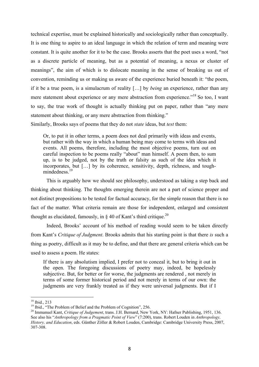technical expertise, must be explained historically and sociologically rather than conceptually. It is one thing to aspire to an ideal language in which the relation of term and meaning were constant. It is quite another for it to be the case. Brooks asserts that the poet uses a word, "not as a discrete particle of meaning, but as a potential of meaning, a nexus or cluster of meanings", the aim of which is to dislocate meaning in the sense of breaking us out of convention, reminding us or making us aware of the experience buried beneath it: "the poem, if it be a true poem, is a simulacrum of reality […] by *being* an experience, rather than any mere statement about experience or any mere abstraction from experience."18 So too, I want to say, the true work of thought is actually thinking put on paper, rather than "any mere statement about thinking, or any mere abstraction from thinking."

Similarly, Brooks says of poems that they do not *state* ideas, but *test* them:

Or, to put it in other terms, a poem does not deal primarily with ideas and events, but rather with the way in which a human being may come to terms with ideas and events. All poems, therefore, including the most objective poems, turn out on careful inspection to be poems really "about" man himself. A poem then, to sum up, is to be judged, not by the truth or falsity as such of the idea which it incorporates, but […] by its coherence, sensitivity, depth, richness, and toughmindedness.<sup>19</sup>

This is arguably how we should see philosophy, understood as taking a step back and thinking about thinking. The thoughts emerging therein are not a part of science proper and not distinct propositions to be tested for factual accuracy, for the simple reason that there is no fact of the matter. What criteria remain are those for independent, enlarged and consistent thought as elucidated, famously, in  $\S$  40 of Kant's third critique.<sup>20</sup>

Indeed, Brooks' account of his method of reading would seem to be taken directly from Kant's *Critique of Judgment*. Brooks admits that his starting point is that there *is* such a thing as poetry, difficult as it may be to define, and that there are general criteria which can be used to assess a poem. He states:

If there is any absolutism implied, I prefer not to conceal it, but to bring it out in the open. The foregoing discussions of poetry may, indeed, be hopelessly subjective. But, for better or for worse, the judgments are rendered , not merely in terms of some former historical period and not merely in terms of our own: the judgments are very frankly treated as if they were universal judgments. But if I

<sup>&</sup>lt;sup>18</sup> Ibid., 213<br><sup>19</sup> Ibid., "The Problem of Belief and the Problem of Cognition", 256.<br><sup>20</sup> Immanuel Kant, *Critique of Judgement*, trans. J.H. Bernard, New York, NY: Hafner Publishing, 1951, 136. See also his "*Anthropology from a Pragmatic Point of View*" (7:200), trans. Robert Louden in *Anthropology, History, and Education*, eds. Günther Zöller & Robert Louden, Cambridge: Cambridge University Press, 2007, 307-308.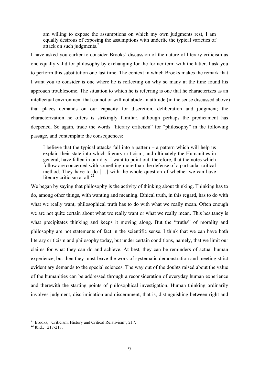am willing to expose the assumptions on which my own judgments rest, I am equally desirous of exposing the assumptions with underlie the typical varieties of attack on such judgments. $21$ 

I have asked you earlier to consider Brooks' discussion of the nature of literary criticism as one equally valid for philosophy by exchanging for the former term with the latter. I ask you to perform this substitution one last time. The context in which Brooks makes the remark that I want you to consider is one where he is reflecting on why so many at the time found his approach troublesome. The situation to which he is referring is one that he characterizes as an intellectual environment that cannot or will not abide an attitude (in the sense discussed above) that places demands on our capacity for discretion, deliberation and judgment; the characterization he offers is strikingly familiar, although perhaps the predicament has deepened. So again, trade the words "literary criticism" for "philosophy" in the following passage, and contemplate the consequences:

I believe that the typical attacks fall into a pattern – a pattern which will help us explain their state into which literary criticism, and ultimately the Humanities in general, have fallen in our day. I want to point out, therefore, that the notes which follow are concerned with something more than the defense of a particular critical method. They have to do […] with the whole question of whether we can have literary criticism at all. $^{22}$ 

We began by saying that philosophy is the activity of thinking about thinking. Thinking has to do, among other things, with wanting and meaning. Ethical truth, in this regard, has to do with what we really want; philosophical truth has to do with what we really mean. Often enough we are not quite certain about what we really want or what we really mean. This hesitancy is what precipitates thinking and keeps it moving along. But the "truths" of morality and philosophy are not statements of fact in the scientific sense. I think that we can have both literary criticism and philosophy today, but under certain conditions, namely, that we limit our claims for what they can do and achieve. At best, they can be reminders of actual human experience, but then they must leave the work of systematic demonstration and meeting strict evidentiary demands to the special sciences. The way out of the doubts raised about the value of the humanities can be addressed through a reconsideration of everyday human experience and therewith the starting points of philosophical investigation. Human thinking ordinarily involves judgment, discrimination and discernment, that is, distinguishing between right and

<sup>&</sup>lt;sup>21</sup> Brooks, "Criticism, History and Critical Relativism", 217.<br><sup>22</sup> Ibid., 217-218.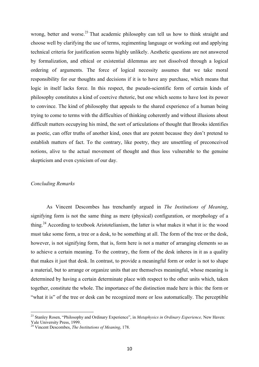wrong, better and worse.<sup>23</sup> That academic philosophy can tell us how to think straight and choose well by clarifying the use of terms, regimenting language or working out and applying technical criteria for justification seems highly unlikely. Aesthetic questions are not answered by formalization, and ethical or existential dilemmas are not dissolved through a logical ordering of arguments. The force of logical necessity assumes that we take moral responsibility for our thoughts and decisions if it is to have any purchase, which means that logic in itself lacks force. In this respect, the pseudo-scientific form of certain kinds of philosophy constitutes a kind of coercive rhetoric, but one which seems to have lost its power to convince. The kind of philosophy that appeals to the shared experience of a human being trying to come to terms with the difficulties of thinking coherently and without illusions about difficult matters occupying his mind, the sort of articulations of thought that Brooks identifies as poetic, can offer truths of another kind, ones that are potent because they don't pretend to establish matters of fact. To the contrary, like poetry, they are unsettling of preconceived notions, alive to the actual movement of thought and thus less vulnerable to the genuine skepticism and even cynicism of our day.

#### *Concluding Remarks*

As Vincent Descombes has trenchantly argued in *The Institutions of Meaning*, signifying form is not the same thing as mere (physical) configuration, or morphology of a thing.<sup>24</sup> According to textbook Aristotelianism, the latter is what makes it what it is: the wood must take some form, a tree or a desk, to be something at all. The form of the tree or the desk, however, is not signifying form, that is, form here is not a matter of arranging elements so as to achieve a certain meaning. To the contrary, the form of the desk inheres in it as a quality that makes it just that desk. In contrast, to provide a meaningful form or order is not to shape a material, but to arrange or organize units that are themselves meaningful, whose meaning is determined by having a certain determinate place with respect to the other units which, taken together, constitute the whole. The importance of the distinction made here is this: the form or "what it is" of the tree or desk can be recognized more or less automatically. The perceptible

<sup>23</sup> Stanley Rosen, "Philosophy and Ordinary Experience", in *Metaphysics in Ordinary Experience,* New Haven: Yale University Press, 1999.<br><sup>24</sup> Vincent Descombes, *The Institutions of Meaning*, 178.